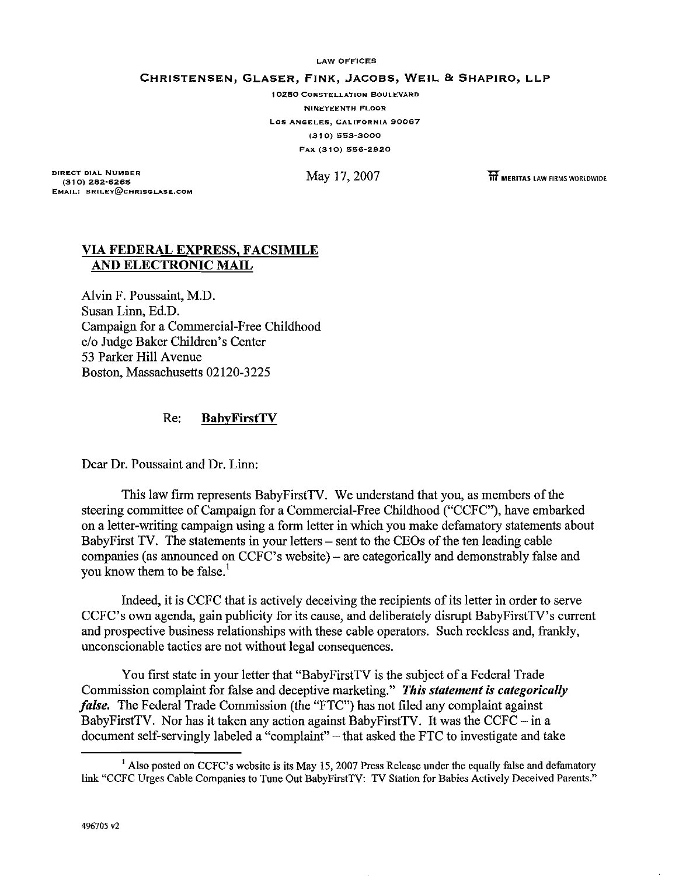**LAW OFFICES**

CHRISTENSEN, GLASER, FINK, JACOBS, WEIL & SHAPIRO, LLP

**10250 CONSTELLATION BOULEVARD NINETEENTH FLOOR Los ANGELES, CALIFORNIA 90067 (310) 553-3000 FAX (310) 556-2920**

**DIRECT DIAL NUMBER (310) 282-6265 EMAIL: SRILEV@CHRISGLASE.COM**

May 17,2007 **liT MERITAS** LAW FIRMS WORLDWIDE

## VIA FEDERAL EXPRESS, FACSIMILE AND ELECTRONIC MAIL

Alvin F. Poussaint, M.D. Susan Linn, Ed.D. Campaign for a Commercial-Free Childhood c/o Judge Baker Children's Center 53 Parker Hill Avenue Boston, Massachusetts 02120-3225

## Re: BabyFirstTV

Dear Dr. Poussaint and Dr. Linn:

This law firm represents BabyFirstTV. We understand that you, as members of the steering committee of Campaign for a Commercial-Free Childhood ("CCFC"), have embarked on a letter-writing campaign using a form letter in which you make defamatory statements about BabyFirst TV. The statements in your letters – sent to the CEOs of the ten leading cable companies (as announced on CCFC's website) - are categorically and demonstrably false and you know them to be false.<sup>1</sup>

Indeed, it is CCFC that is actively deceiving the recipients ofits letter in order to serve CCFC's own agenda, gain publicity for its cause, and deliberately disrupt BabyFirstTV's current and prospective business relationships with these cable operators. Such reckless and, frankly, unconscionable tactics are not without legal consequences.

You first state in your letter that "BabyFirstTV is the subject of a Federal Trade Commission complaint for false and deceptive marketing." *This statement is categorically false.* The Federal Trade Commission (the "FTC") has not filed any complaint against BabyFirstTV. Nor has it taken any action against BabyFirstTV. It was the CCFC  $-$  in a document self-servingly labeled a "complaint" - that asked the FTC to investigate and take

<sup>&</sup>lt;sup>1</sup> Also posted on CCFC's website is its May 15, 2007 Press Release under the equally false and defamatory link "CCFC Urges Cable Companies to Tune Out BabyFirstTV: TV Station for Babies Actively Deceived Parents."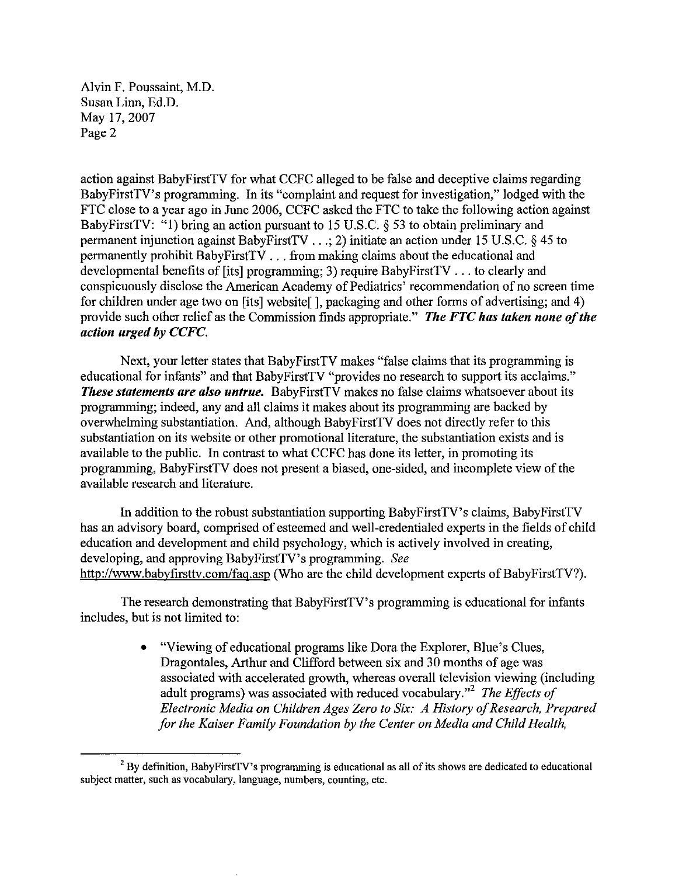Alvin F. Poussaint, M.D. Susan Linn, Ed.D. May 17, 2007 Page 2

action against BabyFirstTV for what CCFC alleged to be false and deceptive claims regarding BabyFirstTV's programming. In its "complaint and request for investigation," lodged with the FTC close to a year ago in June 2006, CCFC asked the FTC to take the following action against BabyFirstTV: "1) bring an action pursuant to 15 U.S.C. § 53 to obtain preliminary and permanent injunction against BabyFirstTV ...; 2) initiate an action under 15 U.S.C. § 45 to permanently prohibit BabyFirstTV ... from making claims about the educational and developmental benefits of [its] programming; 3) require BabyFirstTV ... to clearly and conspicuously disclose the American Academy of Pediatrics' recommendation of no screen time for children under age two on [its] website[], packaging and other forms of advertising; and 4) provide such other relief as the Commission finds appropriate." *The FTC has taken none ofthe action urged* by *CCFC.*

Next, your letter states that BabyFirstTV makes "false claims that its programming is educational for infants" and that BabyFirstTV "provides no research to support its acclaims." *These statements are also untrue.* BabyFirstTV makes no false claims whatsoever about its programming; indeed, any and all claims it makes about its progrannning are backed by overwhelming substantiation. And, although BabyFirstTV does not directly refer to this substantiation on its website or other promotional literature, the substantiation exists and is available to the public. In contrast to what CCFC has done its letter, in promoting its programming, BabyFirstTV does not present a biased, one-sided, and incomplete view of the available research and literature.

In addition to the robust substantiation supporting BabyFirstTV's claims, BabyFirstTV has an advisory board, comprised of esteemed and well-credentialed experts in the fields of child education and development and child psychology, which is actively involved in creating, developing, and approving BabyFirstTV's progrannning. *See* http://www.babyfirsttv.com/faq.asp (Who are the child development experts of BabyFirstTV?).

The research demonstrating that BabyFirstTV's programming is educational for infants includes, but is not limited to:

> • "Viewing of educational programs like Dora the Explorer, Blue's Clues, Dragontales, Arthur and Clifford between six and 30 months of age was associated with accelerated growth, whereas overall television viewing (including adult programs) was associated with reduced vocabulary."<sup>2</sup> The Effects of *Electronic Media on Children Ages Zero to Six: A History of Research, Prepared for the Kaiser Family Foundation by the Center on Media and Child Health.*

 $2$  By definition, BabyFirstTV's programming is educational as all of its shows are dedicated to educational **subject matter, suchas vocabulary, language, numbers, counting, etc.**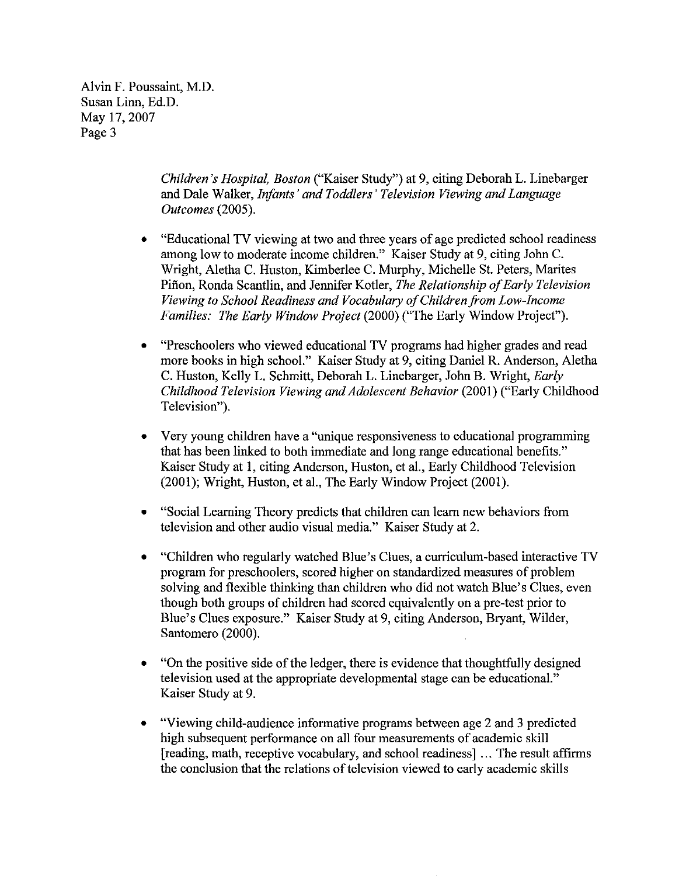Alvin F. Poussaint, M.D. Susan Linn, Ed.D. May 17,2007 Page 3

> *Children's Hospital, Boston* ("Kaiser Study") at 9, citing Deborah L. Linebarger and Dale Walker, *Infants' and Toddlers' Television Viewing and Language Outcomes (2005).*

- "Educational TV viewing at two and three years of age predicted school readiness among low to moderate income children." Kaiser Study at 9, citing John C. Wright, Aletha C. Huston, Kimberlee C. Murphy, Michelle St. Peters, Marites Piñon, Ronda Scantlin, and Jennifer Kotler, *The Relationship of Early Television Viewing to School Readiness and Vocabulary ofChildren from Low-Income Families: The Early Window Project* (2000) ("The Early Window Project").
- "Preschoolers who viewed educational TV programs had higher grades and read more books in high school." Kaiser Study at 9, citing Daniel R. Anderson, Aletha C. Huston, Kelly L. Schmitt, Deborah L. Linebarger, John B. Wright, *Early Childhood Television Viewing and Adolescent Behavior* (2001) ("Early Childhood Television").
- Very young children have a "unique responsiveness to educational programming that has been linked to both immediate and long range educational benefits." Kaiser Study at 1, citing Anderson, Huston, et al., Early Childhood Television (2001); Wright, Huston, et aI., The Early Window Project (2001).
- "Social Learning Theory predicts that children can learn new behaviors from television and other audio visual media." Kaiser Study at 2.
- "Children who regularly watched Blue's Clues, a curriculum-based interactive TV program for preschoolers, scored higher on standardized measures of problem solving and flexible thinking than children who did not watch Blue's Clues, even though both groups of children had scored equivalently on a pre-test prior to Blue's Clues exposure." Kaiser Study at 9, citing Anderson, Bryant, Wilder, Santomero (2000).
- "On the positive side of the ledger, there is evidence that thoughtfully designed television used at the appropriate developmental stage can be educational." Kaiser Study at 9.
- "Viewing child-audience informative programs between age 2 and 3 predicted high subsequent performance on all four measurements of academic skill [reading, math, receptive vocabulary, and school readiness] ... The result affirms the conclusion that the relations of television viewed to early academic skills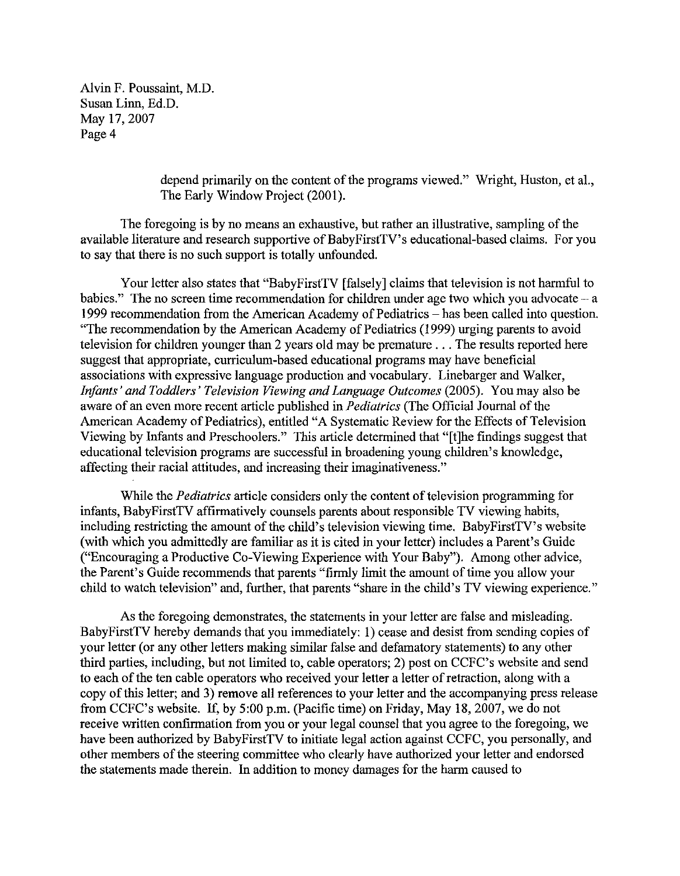Alvin F. Poussaint, M.D. Susan Linn, Ed.D. May 17,2007 Page 4

> depend primarily on the content of the programs viewed." Wright, Huston, et al., The Early Window Project (2001).

The foregoing is by no means an exhaustive, but rather an illustrative, sampling of the available literature and research supportive of BabyFirstTV's educational-based claims. For you to say that there is no such support is totally unfounded.

Your letter also states that "BabyFirstTV [falsely] claims that television is not harmful to babies." The no screen time recommendation for children under age two which you advocate  $-a$ 1999 recommendation from the American Academy of Pediatrics - has been called into question. "The recommendation by the American Academy of Pediatrics (1999) urging parents to avoid television for children younger than 2 years old may be premature ... The results reported here suggest that appropriate, curriculum-based educational programs may have beneficial associations with expressive language production and vocabulary. Linebarger and Walker, *Infants' and Toddlers' Television Viewing and Language Outcomes* (2005). You may also be aware of an even more recent article published in *Pediatrics* (The Official Journal of the American Academy of Pediatrics), entitled "A Systematic Review for the Effects of Television Viewing by Infants and Preschoolers." This article determined that "[t]he findings suggest that educational television programs are successful in broadening young children's knowledge, affecting their racial attitudes, and increasing their imaginativeness."

While the *Pediatrics* article considers only the content of television programming for infants, BabyFirstTV affirmatively counsels parents about responsible TV viewing habits, including restricting the amount of the child's television viewing time. BabyFirstTV's website (with which you admittedly are familiar as it is cited in your letter) includes a Parent's Guide ("Encouraging a Productive Co-Viewing Experience with Your Baby"). Among other advice, the Parent's Guide recommends that parents "firmly limit the amount of time you allow your child to watch television" and, further, that parents "share in the child's TV viewing experience."

As the foregoing demonstrates, the statements in your letter are false and misleading. BabyFirstTV hereby demands that you immediately: I) cease and desist from sending copies of your letter (or any other letters making similar false and defamatory statements) to any other third parties, including, but not limited to, cable operators; 2) post on CCFC's website and send to each of the ten cable operators who received your letter a letter of retraction, along with a copy of this letter; and 3) remove all references to your letter and the accompanying press release from CCFC's website. If, by 5:00 p.m. (Pacific time) on Friday, May 18, 2007, we do not receive written confirmation from you or your legal counsel that you agree to the foregoing, we have been authorized by BabyFirstTV to initiate legal action against CCFC, you personally, and other members of the steering committee who clearly have authorized your letter and endorsed the statements made therein. In addition to money damages for the harm caused to